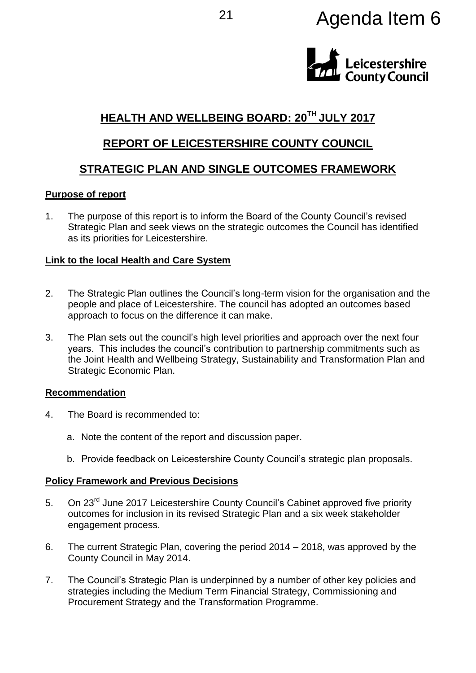# <sup>21</sup> Agenda Item 6



# **HEALTH AND WELLBEING BOARD: 20TH JULY 2017**

# **REPORT OF LEICESTERSHIRE COUNTY COUNCIL**

# **STRATEGIC PLAN AND SINGLE OUTCOMES FRAMEWORK**

## **Purpose of report**

1. The purpose of this report is to inform the Board of the County Council's revised Strategic Plan and seek views on the strategic outcomes the Council has identified as its priorities for Leicestershire.

## **Link to the local Health and Care System**

- 2. The Strategic Plan outlines the Council's long-term vision for the organisation and the people and place of Leicestershire. The council has adopted an outcomes based approach to focus on the difference it can make.
- 3. The Plan sets out the council's high level priorities and approach over the next four years. This includes the council's contribution to partnership commitments such as the Joint Health and Wellbeing Strategy, Sustainability and Transformation Plan and Strategic Economic Plan.

## **Recommendation**

- 4. The Board is recommended to:
	- a. Note the content of the report and discussion paper.
	- b. Provide feedback on Leicestershire County Council's strategic plan proposals.

## **Policy Framework and Previous Decisions**

- 5. On 23<sup>rd</sup> June 2017 Leicestershire County Council's Cabinet approved five priority outcomes for inclusion in its revised Strategic Plan and a six week stakeholder engagement process.
- 6. The current Strategic Plan, covering the period 2014 2018, was approved by the County Council in May 2014.
- 7. The Council's Strategic Plan is underpinned by a number of other key policies and strategies including the Medium Term Financial Strategy, Commissioning and Procurement Strategy and the Transformation Programme.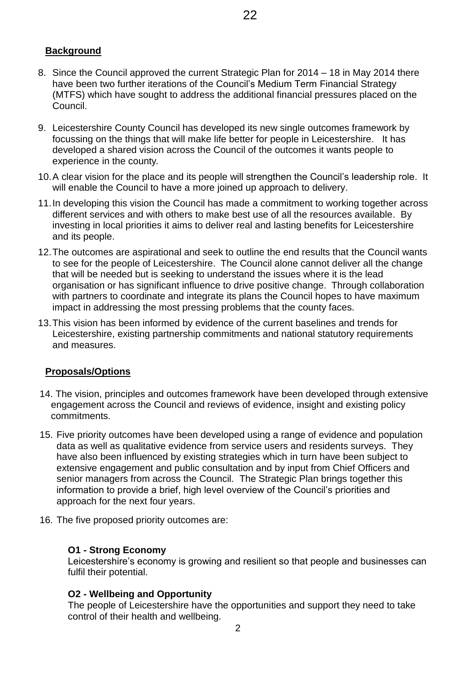# **Background**

- 8. Since the Council approved the current Strategic Plan for 2014 18 in May 2014 there have been two further iterations of the Council's Medium Term Financial Strategy (MTFS) which have sought to address the additional financial pressures placed on the Council.
- 9. Leicestershire County Council has developed its new single outcomes framework by focussing on the things that will make life better for people in Leicestershire. It has developed a shared vision across the Council of the outcomes it wants people to experience in the county.
- 10.A clear vision for the place and its people will strengthen the Council's leadership role. It will enable the Council to have a more joined up approach to delivery.
- 11.In developing this vision the Council has made a commitment to working together across different services and with others to make best use of all the resources available. By investing in local priorities it aims to deliver real and lasting benefits for Leicestershire and its people.
- 12.The outcomes are aspirational and seek to outline the end results that the Council wants to see for the people of Leicestershire. The Council alone cannot deliver all the change that will be needed but is seeking to understand the issues where it is the lead organisation or has significant influence to drive positive change. Through collaboration with partners to coordinate and integrate its plans the Council hopes to have maximum impact in addressing the most pressing problems that the county faces.
- 13.This vision has been informed by evidence of the current baselines and trends for Leicestershire, existing partnership commitments and national statutory requirements and measures.

# **Proposals/Options**

- 14. The vision, principles and outcomes framework have been developed through extensive engagement across the Council and reviews of evidence, insight and existing policy commitments.
- 15. Five priority outcomes have been developed using a range of evidence and population data as well as qualitative evidence from service users and residents surveys. They have also been influenced by existing strategies which in turn have been subject to extensive engagement and public consultation and by input from Chief Officers and senior managers from across the Council. The Strategic Plan brings together this information to provide a brief, high level overview of the Council's priorities and approach for the next four years.
- 16. The five proposed priority outcomes are:

# **O1 - Strong Economy**

Leicestershire's economy is growing and resilient so that people and businesses can fulfil their potential.

# **O2 - Wellbeing and Opportunity**

The people of Leicestershire have the opportunities and support they need to take control of their health and wellbeing.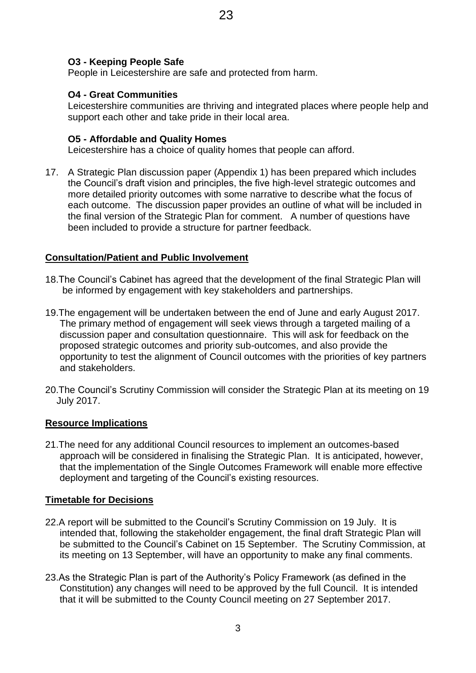## **O3 - Keeping People Safe**

People in Leicestershire are safe and protected from harm.

## **O4 - Great Communities**

Leicestershire communities are thriving and integrated places where people help and support each other and take pride in their local area.

## **O5 - Affordable and Quality Homes**

Leicestershire has a choice of quality homes that people can afford.

17. A Strategic Plan discussion paper (Appendix 1) has been prepared which includes the Council's draft vision and principles, the five high-level strategic outcomes and more detailed priority outcomes with some narrative to describe what the focus of each outcome. The discussion paper provides an outline of what will be included in the final version of the Strategic Plan for comment. A number of questions have been included to provide a structure for partner feedback.

## **Consultation/Patient and Public Involvement**

- 18.The Council's Cabinet has agreed that the development of the final Strategic Plan will be informed by engagement with key stakeholders and partnerships.
- 19.The engagement will be undertaken between the end of June and early August 2017. The primary method of engagement will seek views through a targeted mailing of a discussion paper and consultation questionnaire. This will ask for feedback on the proposed strategic outcomes and priority sub-outcomes, and also provide the opportunity to test the alignment of Council outcomes with the priorities of key partners and stakeholders.
- 20.The Council's Scrutiny Commission will consider the Strategic Plan at its meeting on 19 July 2017.

#### **Resource Implications**

21.The need for any additional Council resources to implement an outcomes-based approach will be considered in finalising the Strategic Plan. It is anticipated, however, that the implementation of the Single Outcomes Framework will enable more effective deployment and targeting of the Council's existing resources.

## **Timetable for Decisions**

- 22.A report will be submitted to the Council's Scrutiny Commission on 19 July. It is intended that, following the stakeholder engagement, the final draft Strategic Plan will be submitted to the Council's Cabinet on 15 September. The Scrutiny Commission, at its meeting on 13 September, will have an opportunity to make any final comments.
- 23.As the Strategic Plan is part of the Authority's Policy Framework (as defined in the Constitution) any changes will need to be approved by the full Council. It is intended that it will be submitted to the County Council meeting on 27 September 2017.